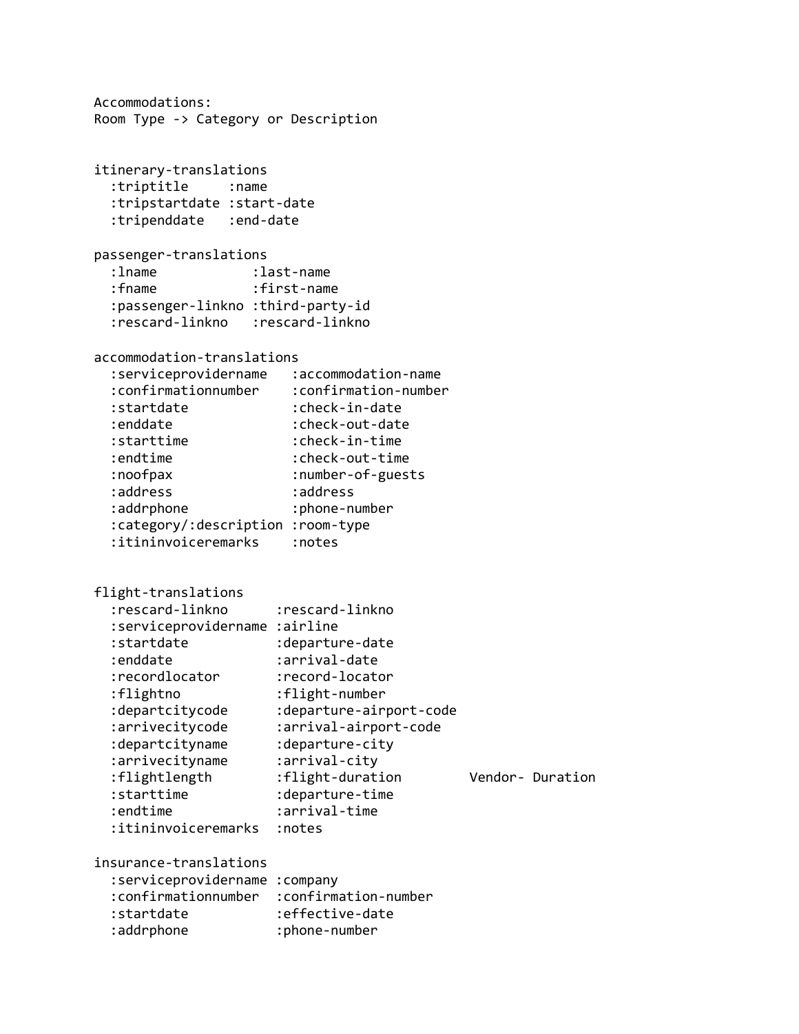Accommodations: Room Type -> Category or Description itinerary-translations :triptitle :name :tripstartdate :start-date :tripenddate :end-date passenger-translations :lname :last-name :fname :first-name :passenger-linkno :third-party-id :rescard-linkno :rescard-linkno accommodation-translations :serviceprovidername :accommodation-name :confirmationnumber :confirmation-number :startdate :check-in-date :enddate :check-out-date :starttime :check-in-time :endtime :check-out-time :noofpax :number-of-guests :address :address :addrphone :phone-number :category/:description :room-type :itininvoiceremarks :notes flight-translations :rescard-linkno :rescard-linkno :serviceprovidername :airline :startdate :departure-date :enddate :arrival-date :recordlocator :record-locator :flightno :flight-number :departcitycode :departure-airport-code :arrivecitycode :arrival-airport-code :departcityname :departure-city :arrivecityname :arrival-city :flightlength :flight-duration Vendor- Duration :starttime :departure-time :endtime :arrival-time :itininvoiceremarks :notes insurance-translations :serviceprovidername :company :confirmationnumber :confirmation-number :startdate :effective-date :addrphone :phone-number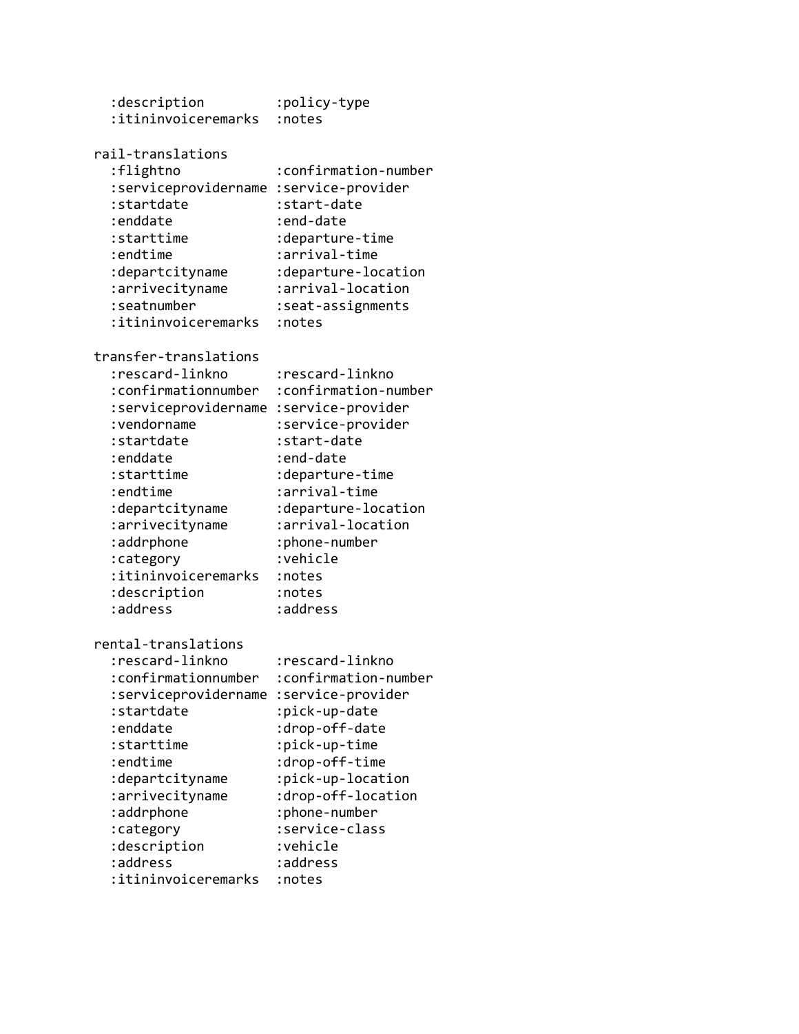| :description<br>:itininvoiceremarks                                                                                                                                                                                                                                             | :policy-type<br>:notes                                                                                                                                                                                                                                     |
|---------------------------------------------------------------------------------------------------------------------------------------------------------------------------------------------------------------------------------------------------------------------------------|------------------------------------------------------------------------------------------------------------------------------------------------------------------------------------------------------------------------------------------------------------|
| rail-translations<br>:flightno<br>:serviceprovidername<br>:startdate<br>:enddate<br>:starttime<br>:endtime<br>:departcityname<br>:arrivecityname<br>:seatnumber<br>:itininvoiceremarks                                                                                          | :confirmation-number<br>:service-provider<br>:start-date<br>:end-date<br>:departure-time<br>:arrival-time<br>:departure-location<br>:arrival-location<br>:seat-assignments<br>:notes                                                                       |
| transfer-translations<br>:rescard-linkno<br>:confirmationnumber<br>:serviceprovidername<br>: vendorname<br>:startdate<br>:enddate<br>:starttime<br>:endtime<br>:departcityname<br>:arrivecityname<br>:addrphone<br>:category<br>:itininvoiceremarks<br>:description<br>:address | :rescard-linkno<br>:confirmation-number<br>:service-provider<br>:service-provider<br>:start-date<br>:end-date<br>:departure-time<br>:arrival-time<br>:departure-location<br>:arrival-location<br>:phone-number<br>:vehicle<br>:notes<br>:notes<br>:address |
| rental-translations<br>:rescard-linkno<br>:confirmationnumber<br>:serviceprovidername<br>:startdate<br>:enddate<br>:starttime<br>:endtime<br>:departcityname<br>:arrivecityname<br>:addrphone<br>:category<br>:description<br>:address<br>:itininvoiceremarks                   | :rescard-linkno<br>:confirmation-number<br>:service-provider<br>:pick-up-date<br>:drop-off-date<br>:pick-up-time<br>:drop-off-time<br>:pick-up-location<br>:drop-off-location<br>:phone-number<br>:service-class<br>:vehicle<br>:address<br>:notes         |